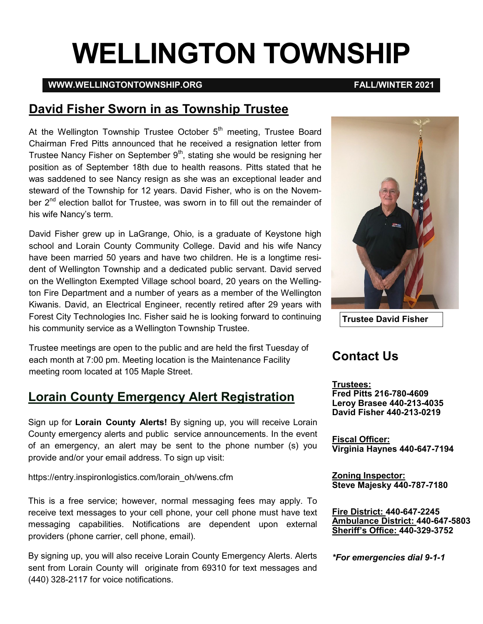# **WELLINGTON TOWNSHIP**

#### **WWW.WELLINGTONTOWNSHIP.ORG FALL/WINTER 2021**

#### **David Fisher Sworn in as Township Trustee**

At the Wellington Township Trustee October  $5<sup>th</sup>$  meeting, Trustee Board Chairman Fred Pitts announced that he received a resignation letter from Trustee Nancy Fisher on September  $9<sup>th</sup>$ , stating she would be resigning her position as of September 18th due to health reasons. Pitts stated that he was saddened to see Nancy resign as she was an exceptional leader and steward of the Township for 12 years. David Fisher, who is on the November 2<sup>nd</sup> election ballot for Trustee, was sworn in to fill out the remainder of his wife Nancy's term.

David Fisher grew up in LaGrange, Ohio, is a graduate of Keystone high school and Lorain County Community College. David and his wife Nancy have been married 50 years and have two children. He is a longtime resident of Wellington Township and a dedicated public servant. David served on the Wellington Exempted Village school board, 20 years on the Wellington Fire Department and a number of years as a member of the Wellington Kiwanis. David, an Electrical Engineer, recently retired after 29 years with Forest City Technologies Inc. Fisher said he is looking forward to continuing his community service as a Wellington Township Trustee.

Trustee meetings are open to the public and are held the first Tuesday of each month at 7:00 pm. Meeting location is the Maintenance Facility meeting room located at 105 Maple Street.

### **Lorain County Emergency Alert Registration**

Sign up for **Lorain County Alerts!** By signing up, you will receive Lorain County emergency alerts and public service announcements. In the event of an emergency, an alert may be sent to the phone number (s) you provide and/or your email address. To sign up visit:

https://entry.inspironlogistics.com/lorain\_oh/wens.cfm

This is a free service; however, normal messaging fees may apply. To receive text messages to your cell phone, your cell phone must have text messaging capabilities. Notifications are dependent upon external providers (phone carrier, cell phone, email).

By signing up, you will also receive Lorain County Emergency Alerts. Alerts sent from Lorain County will originate from 69310 for text messages and (440) 328-2117 for voice notifications.



**Contact Us**

**Trustees: Fred Pitts 216-780-4609 Leroy Brasee 440-213-4035 David Fisher 440-213-0219**

**Fiscal Officer: Virginia Haynes 440-647-7194**

**Zoning Inspector: Steve Majesky 440-787-7180**

**Fire District: 440-647-2245 Ambulance District: 440-647-5803 Sheriff's Office: 440-329-3752**

*\*For emergencies dial 9-1-1*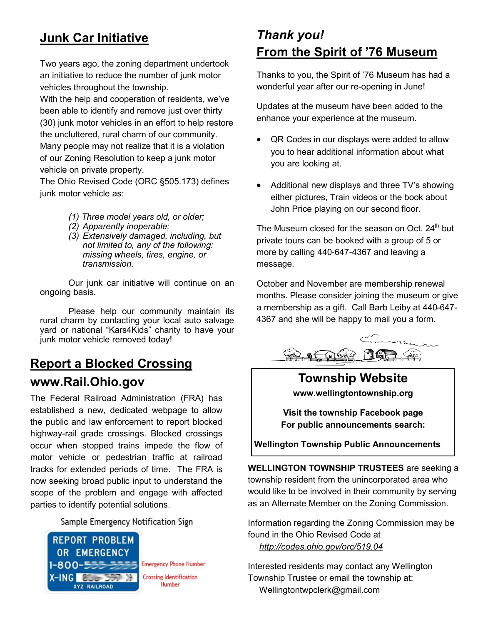# **Junk Car Initiative**

Two years ago, the zoning department undertook an initiative to reduce the number of junk motor vehicles throughout the township.

With the help and cooperation of residents, we've been able to identify and remove just over thirty (30) junk motor vehicles in an effort to help restore the uncluttered, rural charm of our community. Many people may not realize that it is a violation of our Zoning Resolution to keep a junk motor vehicle on private property.

The Ohio Revised Code (ORC §505.173) defines junk motor vehicle as:

- *(1) Three model years old, or older;*
- *(2) Apparently inoperable;*
- *(3) Extensively damaged, including, but not limited to, any of the following: missing wheels, tires, engine, or transmission.*

Our junk car initiative will continue on an ongoing basis.

Please help our community maintain its rural charm by contacting your local auto salvage yard or national "Kars4Kids" charity to have your junk motor vehicle removed today!

# **Report a Blocked Crossing www.Rail.Ohio.gov**

The Federal Railroad Administration (FRA) has established a new, dedicated webpage to allow the public and law enforcement to report blocked highway-rail grade crossings. Blocked crossings occur when stopped trains impede the flow of motor vehicle or pedestrian traffic at railroad tracks for extended periods of time. The FRA is now seeking broad public input to understand the scope of the problem and engage with affected parties to identify potential solutions.

Sample Emergency Notification Sign



**Emergency Phone Number Crossing Identification** Number

# *Thank you!*  **From the Spirit of '76 Museum**

Thanks to you, the Spirit of '76 Museum has had a wonderful year after our re-opening in June!

Updates at the museum have been added to the enhance your experience at the museum.

- QR Codes in our displays were added to allow you to hear additional information about what you are looking at.
- Additional new displays and three TV's showing either pictures, Train videos or the book about John Price playing on our second floor.

The Museum closed for the season on Oct. 24<sup>th</sup> but private tours can be booked with a group of 5 or more by calling 440-647-4367 and leaving a message.

October and November are membership renewal months. Please consider joining the museum or give a membership as a gift. Call Barb Leiby at 440-647- 4367 and she will be happy to mail you a form.



#### **Township Website www.wellingtontownship.org**

**Visit the township Facebook page For public announcements search:**

**Wellington Township Public Announcements**

**WELLINGTON TOWNSHIP TRUSTEES** are seeking a township resident from the unincorporated area who would like to be involved in their community by serving as an Alternate Member on the Zoning Commission.

Information regarding the Zoning Commission may be found in the Ohio Revised Code at *<http://codes.ohio.gov/orc/519.04>*

Interested residents may contact any Wellington Township Trustee or email the township at: [Wellingtontwpclerk@gmail.com](mailto:Wellingtontwpclerk@gmail.com)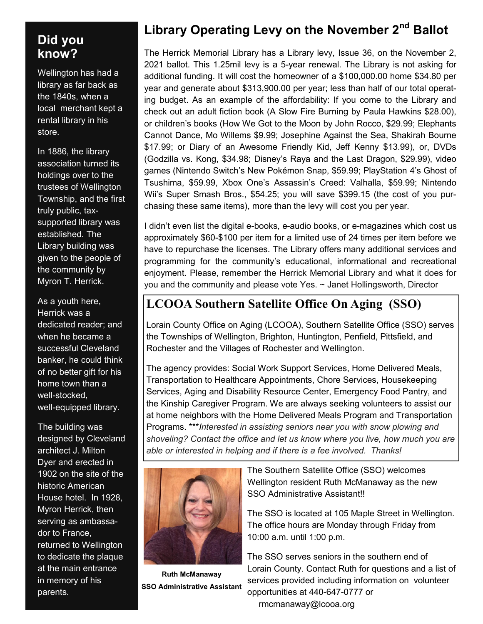#### **Did you know?**

Wellington has had a library as far back as the 1840s, when a local merchant kept a rental library in his store.

In 1886, the library association turned its holdings over to the trustees of Wellington Township, and the first truly public, taxsupported library was established. The Library building was given to the people of the community by Myron T. Herrick.

As a youth here, Herrick was a dedicated reader; and when he became a successful Cleveland banker, he could think of no better gift for his home town than a well-stocked, well-equipped library.

The building was designed by Cleveland architect J. Milton Dyer and erected in 1902 on the site of the historic American House hotel. In 1928, Myron Herrick, then serving as ambassador to France, returned to Wellington to dedicate the plaque at the main entrance in memory of his parents.

# **Library Operating Levy on the November 2nd Ballot**

The Herrick Memorial Library has a Library levy, Issue 36, on the November 2, 2021 ballot. This 1.25mil levy is a 5-year renewal. The Library is not asking for additional funding. It will cost the homeowner of a \$100,000.00 home \$34.80 per year and generate about \$313,900.00 per year; less than half of our total operating budget. As an example of the affordability: If you come to the Library and check out an adult fiction book (A Slow Fire Burning by Paula Hawkins \$28.00), or children's books (How We Got to the Moon by John Rocco, \$29.99; Elephants Cannot Dance, Mo Willems \$9.99; Josephine Against the Sea, Shakirah Bourne \$17.99; or Diary of an Awesome Friendly Kid, Jeff Kenny \$13.99), or, DVDs (Godzilla vs. Kong, \$34.98; Disney's Raya and the Last Dragon, \$29.99), video games (Nintendo Switch's New Pokémon Snap, \$59.99; PlayStation 4's Ghost of Tsushima, \$59.99, Xbox One's Assassin's Creed: Valhalla, \$59.99; Nintendo Wii's Super Smash Bros., \$54.25; you will save \$399.15 (the cost of you purchasing these same items), more than the levy will cost you per year.

I didn't even list the digital e-books, e-audio books, or e-magazines which cost us approximately \$60-\$100 per item for a limited use of 24 times per item before we have to repurchase the licenses. The Library offers many additional services and programming for the community's educational, informational and recreational enjoyment. Please, remember the Herrick Memorial Library and what it does for you and the community and please vote Yes. ~ Janet Hollingsworth, Director

### **LCOOA Southern Satellite Office On Aging (SSO)**

Lorain County Office on Aging (LCOOA), Southern Satellite Office (SSO) serves the Townships of Wellington, Brighton, Huntington, Penfield, Pittsfield, and Rochester and the Villages of Rochester and Wellington.

The agency provides: Social Work Support Services, Home Delivered Meals, Transportation to Healthcare Appointments, Chore Services, Housekeeping Services, Aging and Disability Resource Center, Emergency Food Pantry, and the Kinship Caregiver Program. We are always seeking volunteers to assist our at home neighbors with the Home Delivered Meals Program and Transportation Programs. \*\*\**Interested in assisting seniors near you with snow plowing and shoveling? Contact the office and let us know where you live, how much you are able or interested in helping and if there is a fee involved. Thanks!*



**Ruth McManaway SSO Administrative Assistant**

The Southern Satellite Office (SSO) welcomes Wellington resident Ruth McManaway as the new SSO Administrative Assistant!!

The SSO is located at 105 Maple Street in Wellington. The office hours are Monday through Friday from 10:00 a.m. until 1:00 p.m.

The SSO serves seniors in the southern end of Lorain County. Contact Ruth for questions and a list of services provided including information on volunteer opportunities at 440-647-0777 or rmcmanaway@lcooa.org